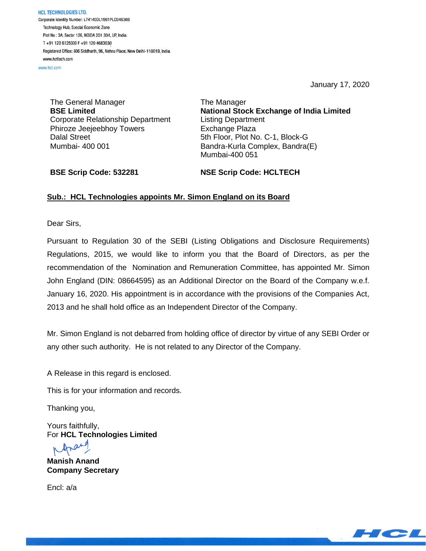HCL TECHNOLOGIES LTD. Corporate Identity Number: L74140DL1991PLC046369 Technology Hub, Special Economic Zone Plot No: 3A, Sector 126, NOIDA 201 304, UP, India. T+91 120 6125000 F+91 120 4683030 Registered Office: 806 Siddharth, 96, Nehru Place, New Delhi-110019, India. www.hcltech.com

www.hcl.com

January 17, 2020

The General Manager **BSE Limited** Corporate Relationship Department Phiroze Jeejeebhoy Towers Dalal Street Mumbai- 400 001

The Manager **National Stock Exchange of India Limited** Listing Department Exchange Plaza 5th Floor, Plot No. C-1, Block-G Bandra-Kurla Complex, Bandra(E) Mumbai-400 051

**BSE Scrip Code: 532281**

**NSE Scrip Code: HCLTECH**

## **Sub.: HCL Technologies appoints Mr. Simon England on its Board**

Dear Sirs,

Pursuant to Regulation 30 of the SEBI (Listing Obligations and Disclosure Requirements) Regulations, 2015, we would like to inform you that the Board of Directors, as per the recommendation of the Nomination and Remuneration Committee, has appointed Mr. Simon John England (DIN: 08664595) as an Additional Director on the Board of the Company w.e.f. January 16, 2020. His appointment is in accordance with the provisions of the Companies Act, 2013 and he shall hold office as an Independent Director of the Company.

Mr. Simon England is not debarred from holding office of director by virtue of any SEBI Order or any other such authority. He is not related to any Director of the Company.

A Release in this regard is enclosed.

This is for your information and records.

Thanking you,

Yours faithfully, For **HCL Technologies Limited**

Ana

**Manish Anand Company Secretary**

Encl: a/a

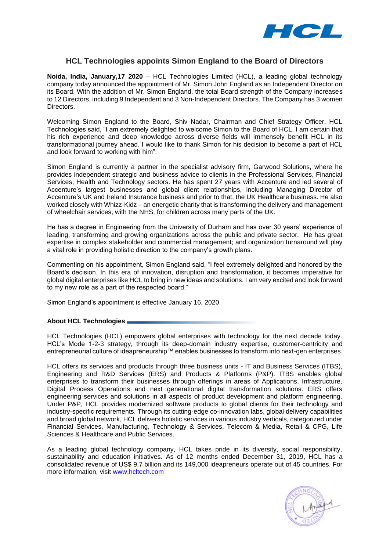

## **HCL Technologies appoints Simon England to the Board of Directors**

**Noida, India, January,17 2020** – HCL Technologies Limited (HCL), a leading global technology company today announced the appointment of Mr. Simon John England as an Independent Director on its Board. With the addition of Mr. Simon England, the total Board strength of the Company increases to 12 Directors, including 9 Independent and 3 Non-Independent Directors. The Company has 3 women Directors.

Welcoming Simon England to the Board, Shiv Nadar, Chairman and Chief Strategy Officer, HCL Technologies said, "I am extremely delighted to welcome Simon to the Board of HCL. I am certain that his rich experience and deep knowledge across diverse fields will immensely benefit HCL in its transformational journey ahead. I would like to thank Simon for his decision to become a part of HCL and look forward to working with him".

Simon England is currently a partner in the specialist advisory firm, Garwood Solutions, where he provides independent strategic and business advice to clients in the Professional Services, Financial Services, Health and Technology sectors. He has spent 27 years with Accenture and led several of Accenture's largest businesses and global client relationships, including Managing Director of Accenture's UK and Ireland Insurance business and prior to that, the UK Healthcare business. He also worked closely with Whizz-Kidz – an energetic charity that is transforming the delivery and management of wheelchair services, with the NHS, for children across many parts of the UK.

He has a degree in Engineering from the University of Durham and has over 30 years' experience of leading, transforming and growing organizations across the public and private sector. He has great expertise in complex stakeholder and commercial management; and organization turnaround will play a vital role in providing holistic direction to the company's growth plans.

Commenting on his appointment, Simon England said, "I feel extremely delighted and honored by the Board's decision. In this era of innovation, disruption and transformation, it becomes imperative for global digital enterprises like HCL to bring in new ideas and solutions. I am very excited and look forward to my new role as a part of the respected board."

Simon England's appointment is effective January 16, 2020.

## **About HCL Technologies**

HCL Technologies (HCL) empowers global enterprises with technology for the next decade today. HCL's Mode 1-2-3 strategy, through its deep-domain industry expertise, customer-centricity and entrepreneurial culture of ideapreneurship™ enables businesses to transform into next-gen enterprises.

HCL offers its services and products through three business units - IT and Business Services (ITBS), Engineering and R&D Services (ERS) and Products & Platforms (P&P). ITBS enables global enterprises to transform their businesses through offerings in areas of Applications, Infrastructure, Digital Process Operations and next generational digital transformation solutions. ERS offers engineering services and solutions in all aspects of product development and platform engineering. Under P&P, HCL provides modernized software products to global clients for their technology and industry-specific requirements. Through its cutting-edge co-innovation labs, global delivery capabilities and broad global network, HCL delivers holistic services in various industry verticals, categorized under Financial Services, Manufacturing, Technology & Services, Telecom & Media, Retail & CPG, Life Sciences & Healthcare and Public Services.

As a leading global technology company, HCL takes pride in its diversity, social responsibility, sustainability and education initiatives. As of 12 months ended December 31, 2019, HCL has a consolidated revenue of US\$ 9.7 billion and its 149,000 ideapreneurs operate out of 45 countries. For more information, visit [www.hcltech.com](http://www.hcltech.com/)